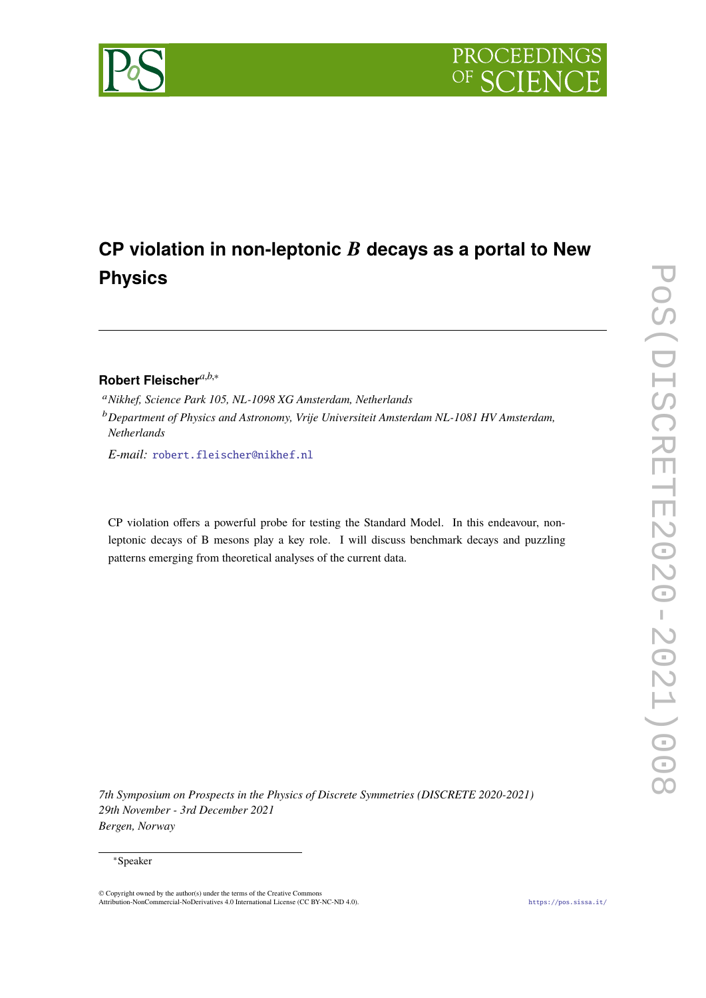

# **CP violation in non-leptonic** B **decays as a portal to New Physics**

### **Robert Fleischer***a*,*b*,<sup>∗</sup>

<sup>a</sup>*Nikhef, Science Park 105, NL-1098 XG Amsterdam, Netherlands*

*E-mail:* [robert.fleischer@nikhef.nl](mailto:robert.fleischer@nikhef.nl)

CP violation offers a powerful probe for testing the Standard Model. In this endeavour, nonleptonic decays of B mesons play a key role. I will discuss benchmark decays and puzzling patterns emerging from theoretical analyses of the current data.

*7th Symposium on Prospects in the Physics of Discrete Symmetries (DISCRETE 2020-2021) 29th November - 3rd December 2021 Bergen, Norway*

### <sup>∗</sup>Speaker

© Copyright owned by the author(s) under the terms of the Creative Commons Attribution-NonCommercial-NoDerivatives 4.0 International License (CC BY-NC-ND 4.0). <https://pos.sissa.it/>

<sup>b</sup>*Department of Physics and Astronomy, Vrije Universiteit Amsterdam NL-1081 HV Amsterdam, Netherlands*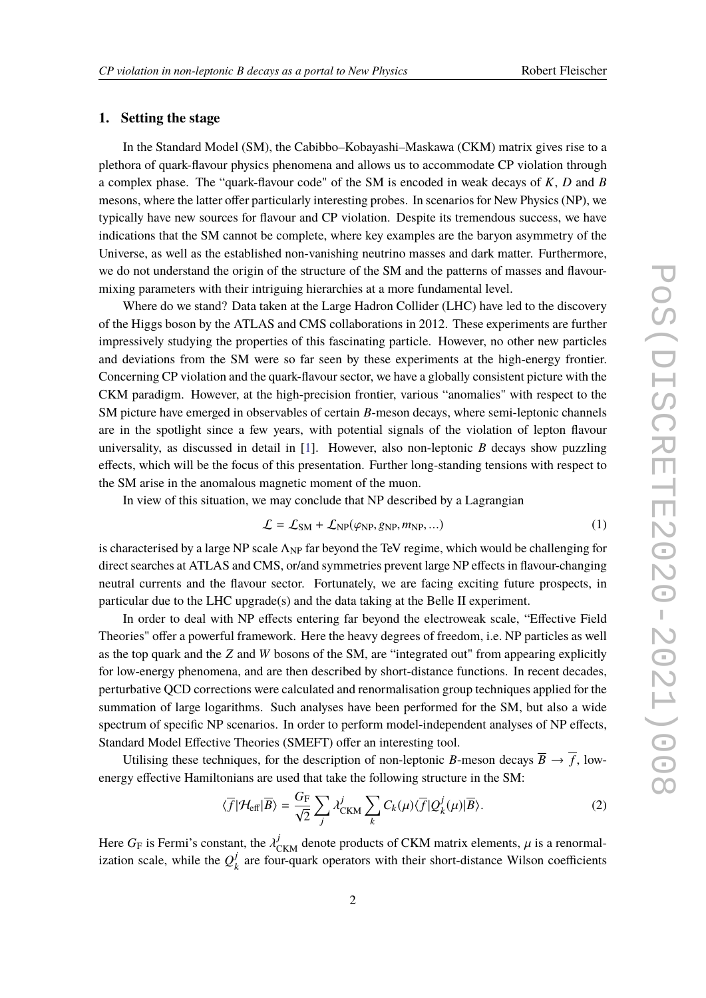### **1. Setting the stage**

In the Standard Model (SM), the Cabibbo–Kobayashi–Maskawa (CKM) matrix gives rise to a plethora of quark-flavour physics phenomena and allows us to accommodate CP violation through a complex phase. The "quark-flavour code" of the SM is encoded in weak decays of *K*, *D* and *B* mesons, where the latter offer particularly interesting probes. In scenarios for New Physics (NP), we typically have new sources for flavour and CP violation. Despite its tremendous success, we have indications that the SM cannot be complete, where key examples are the baryon asymmetry of the Universe, as well as the established non-vanishing neutrino masses and dark matter. Furthermore, we do not understand the origin of the structure of the SM and the patterns of masses and flavourmixing parameters with their intriguing hierarchies at a more fundamental level.

Where do we stand? Data taken at the Large Hadron Collider (LHC) have led to the discovery of the Higgs boson by the ATLAS and CMS collaborations in 2012. These experiments are further impressively studying the properties of this fascinating particle. However, no other new particles and deviations from the SM were so far seen by these experiments at the high-energy frontier. Concerning CP violation and the quark-flavour sector, we have a globally consistent picture with the CKM paradigm. However, at the high-precision frontier, various "anomalies" with respect to the SM picture have emerged in observables of certain *B*-meson decays, where semi-leptonic channels are in the spotlight since a few years, with potential signals of the violation of lepton flavour universality, as discussed in detail in [\[1\]](#page-9-0). However, also non-leptonic *B* decays show puzzling effects, which will be the focus of this presentation. Further long-standing tensions with respect to the SM arise in the anomalous magnetic moment of the muon.

In view of this situation, we may conclude that NP described by a Lagrangian

$$
\mathcal{L} = \mathcal{L}_{SM} + \mathcal{L}_{NP}(\varphi_{NP}, g_{NP}, m_{NP}, \ldots)
$$
 (1)

is characterised by a large NP scale  $\Lambda_{NP}$  far beyond the TeV regime, which would be challenging for direct searches at ATLAS and CMS, or/and symmetries prevent large NP effects in flavour-changing neutral currents and the flavour sector. Fortunately, we are facing exciting future prospects, in particular due to the LHC upgrade(s) and the data taking at the Belle II experiment.

In order to deal with NP effects entering far beyond the electroweak scale, "Effective Field Theories" offer a powerful framework. Here the heavy degrees of freedom, i.e. NP particles as well as the top quark and the *Z* and *W* bosons of the SM, are "integrated out" from appearing explicitly for low-energy phenomena, and are then described by short-distance functions. In recent decades, perturbative QCD corrections were calculated and renormalisation group techniques applied for the summation of large logarithms. Such analyses have been performed for the SM, but also a wide spectrum of specific NP scenarios. In order to perform model-independent analyses of NP effects, Standard Model Effective Theories (SMEFT) offer an interesting tool.

Utilising these techniques, for the description of non-leptonic *B*-meson decays  $\overline{B} \to \overline{f}$ , lowenergy effective Hamiltonians are used that take the following structure in the SM:

$$
\langle \overline{f} | \mathcal{H}_{\text{eff}} | \overline{B} \rangle = \frac{G_{\text{F}}}{\sqrt{2}} \sum_{j} \lambda_{\text{CKM}}^{j} \sum_{k} C_{k}(\mu) \langle \overline{f} | Q_{k}^{j}(\mu) | \overline{B} \rangle. \tag{2}
$$

Here  $G_F$  is Fermi's constant, the  $\lambda_{CKM}^j$  denote products of CKM matrix elements,  $\mu$  is a renormalization scale, while the  $Q_i^j$  $\kappa_k^{\prime}$  are four-quark operators with their short-distance Wilson coefficients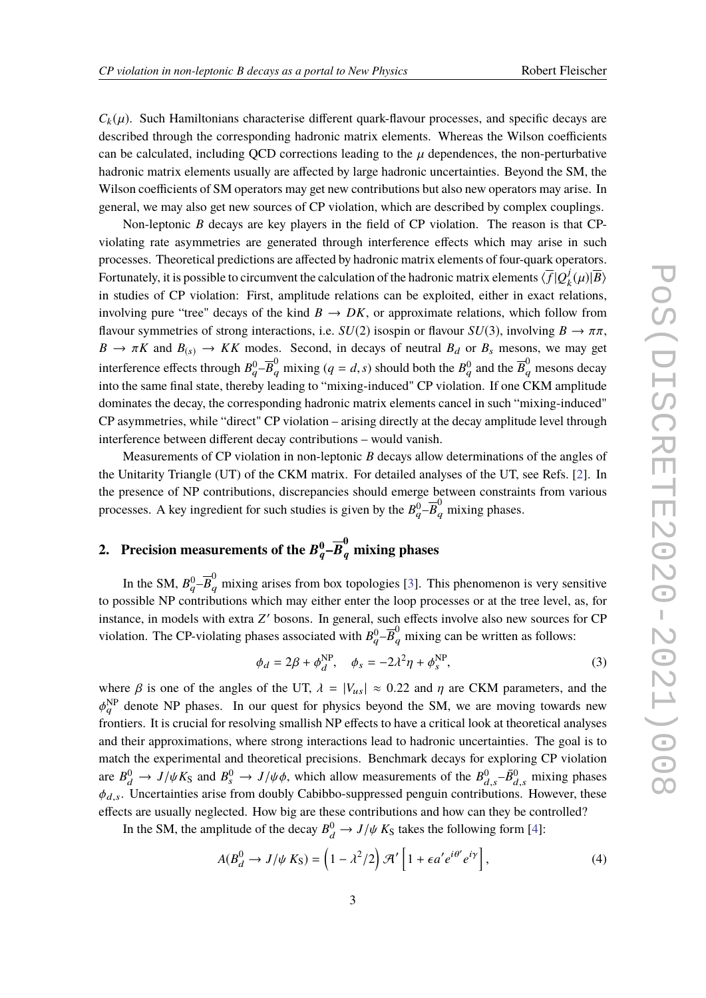$C_k(\mu)$ . Such Hamiltonians characterise different quark-flavour processes, and specific decays are described through the corresponding hadronic matrix elements. Whereas the Wilson coefficients can be calculated, including QCD corrections leading to the  $\mu$  dependences, the non-perturbative hadronic matrix elements usually are affected by large hadronic uncertainties. Beyond the SM, the Wilson coefficients of SM operators may get new contributions but also new operators may arise. In general, we may also get new sources of CP violation, which are described by complex couplings.

Non-leptonic *B* decays are key players in the field of CP violation. The reason is that CPviolating rate asymmetries are generated through interference effects which may arise in such processes. Theoretical predictions are affected by hadronic matrix elements of four-quark operators. Fortunately, it is possible to circumvent the calculation of the hadronic matrix elements  $\langle \overline{f} | Q_i^j \rangle$  $\frac{J}{k}(\mu)|\overline{B}\rangle$ in studies of CP violation: First, amplitude relations can be exploited, either in exact relations, involving pure "tree" decays of the kind  $B \to DK$ , or approximate relations, which follow from flavour symmetries of strong interactions, i.e.  $SU(2)$  isospin or flavour  $SU(3)$ , involving  $B \to \pi \pi$ ,  $B \to \pi K$  and  $B_{(s)} \to K K$  modes. Second, in decays of neutral  $B_d$  or  $B_s$  mesons, we may get interference effects through  $B_q^0 - \overline{B}_q^0$  mixing ( $q = d, s$ ) should both the  $B_q^0$  and the  $\overline{B}_q^0$  mesons decay into the same final state, thereby leading to "mixing-induced" CP violation. If one CKM amplitude dominates the decay, the corresponding hadronic matrix elements cancel in such "mixing-induced" CP asymmetries, while "direct" CP violation – arising directly at the decay amplitude level through interference between different decay contributions – would vanish.

Measurements of CP violation in non-leptonic *B* decays allow determinations of the angles of the Unitarity Triangle (UT) of the CKM matrix. For detailed analyses of the UT, see Refs. [\[2\]](#page-9-1). In the presence of NP contributions, discrepancies should emerge between constraints from various processes. A key ingredient for such studies is given by the  $B_q^0$ – $\overline{B}_q^0$  mixing phases.

## 2. Precision measurements of the  $B^0_q\text{--}\overline{B}^0_q$  mixing phases

In the SM,  $B_q^0$ – $\overline{B}_q^0$  mixing arises from box topologies [\[3\]](#page-9-2). This phenomenon is very sensitive to possible NP contributions which may either enter the loop processes or at the tree level, as, for instance, in models with extra Z' bosons. In general, such effects involve also new sources for CP violation. The CP-violating phases associated with  $B_q^0$ - $\overline{B}_q^0$  mixing can be written as follows:

<span id="page-2-1"></span>
$$
\phi_d = 2\beta + \phi_d^{\text{NP}}, \quad \phi_s = -2\lambda^2 \eta + \phi_s^{\text{NP}}, \tag{3}
$$

where  $\beta$  is one of the angles of the UT,  $\lambda = |V_{us}| \approx 0.22$  and  $\eta$  are CKM parameters, and the  $\frac{q}{q}$  and the primers. It is crucial for resolving smallish NP effects to have a critical look at theoretical analyses  $_{q}^{\text{NP}}$  denote NP phases. In our quest for physics beyond the SM, we are moving towards new and their approximations, where strong interactions lead to hadronic uncertainties. The goal is to match the experimental and theoretical precisions. Benchmark decays for exploring CP violation are  $B_d^0 \rightarrow J/\psi K_S$  and  $B_s^0 \rightarrow J/\psi \phi$ , which allow measurements of the  $B_{d,s}^0 - \bar{B}_{d,s}^0$  mixing phases  $\phi$ . Incertainties arise from doubly Cabibbo suppressed papeuin contributions. However these  $d,s$  $\phi_{d,s}$ . Uncertainties arise from doubly Cabibbo-suppressed penguin contributions. However, these  $\phi_{d,s}$ . effects are usually neglected. How big are these contributions and how can they be controlled?

In the SM, the amplitude of the decay  $B_d^0 \to J/\psi K_S$  takes the following form [\[4\]](#page-9-3):

<span id="page-2-0"></span>
$$
A(B_d^0 \to J/\psi K_S) = \left(1 - \lambda^2/2\right) \mathcal{H}' \left[1 + \epsilon a' e^{i\theta'} e^{i\gamma}\right],\tag{4}
$$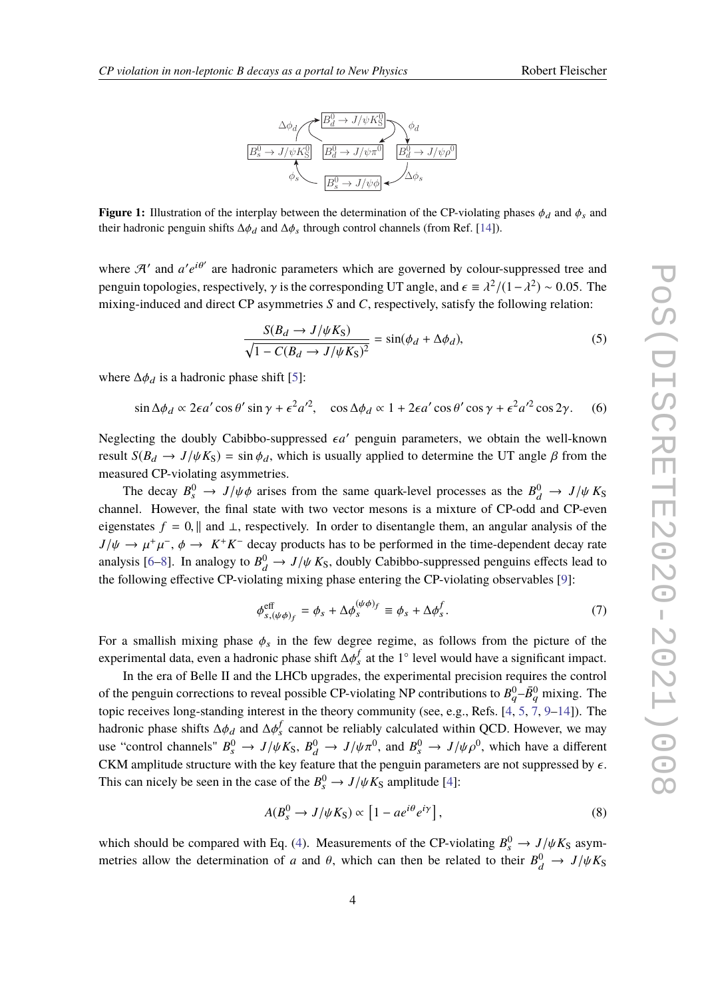



<span id="page-3-1"></span>**Figure 1:** Illustration of the interplay between the determination of the CP-violating phases  $\phi_d$  and  $\phi_s$  and their hadronic penguin shifts  $\Delta \phi_d$  and  $\Delta \phi_s$  through control channels (from Ref. [\[14\]](#page-10-0)).

where  $\mathcal{A}'$  and  $a'e^{i\theta'}$  are hadronic parameters which are governed by colour-suppressed tree and penguin topologies, respectively,  $\gamma$  is the corresponding UT angle, and  $\epsilon \equiv \lambda^2/(1-\lambda^2) \sim 0.05$ . The mixing induced and direct CB extremations for all C respectively estimates following relations mixing-induced and direct CP asymmetries *S* and *C*, respectively, satisfy the following relation:

<span id="page-3-0"></span>
$$
\frac{S(B_d \to J/\psi K_S)}{\sqrt{1 - C(B_d \to J/\psi K_S)^2}} = \sin(\phi_d + \Delta \phi_d),\tag{5}
$$

where  $\Delta \phi_d$  is a hadronic phase shift [\[5\]](#page-9-4):

 $\sin \Delta\phi_d \propto 2\epsilon a' \cos\theta' \sin\gamma + \epsilon^2 a'^2$ ,  $\cos \Delta\phi_d \propto 1 + 2\epsilon a' \cos\theta' \cos\gamma + \epsilon^2 a'^2 \cos 2\gamma$ . (6)

Neglecting the doubly Cabibbo-suppressed  $\epsilon a'$  penguin parameters, we obtain the well-known result  $S(B_d \to J/\psi K_S) = \sin \phi_d$ , which is usually applied to determine the UT angle  $\beta$  from the measured CP-violating asymmetries.

The decay  $B_s^0 \to J/\psi \phi$  arises from the same quark-level processes as the  $B_d^0 \to J/\psi K_S$ <br>and Haussian the final state with two vector massens is a mixture of CP add and CP system channel. However, the final state with two vector mesons is a mixture of CP-odd and CP-even eigenstates  $f = 0$ , || and ⊥, respectively. In order to disentangle them, an angular analysis of the  $J/\psi \to \mu^+\mu^-$ ,  $\phi \to K^+K^-$  decay products has to be performed in the time-dependent decay rate<br>englise  $[6, 8]$ . In angles to  $B^0 \to J/\psi K^-$  deviative Cabibbe supergessed perspins offsets lead to analysis [\[6–](#page-9-5)[8\]](#page-10-1). In analogy to  $B_d^0 \rightarrow J/\psi K_S$ , doubly Cabibbo-suppressed penguins effects lead to<br>the following effective CD violating mixing phase entering the CD violating eheavy blue [0]. the following effective CP-violating mixing phase entering the CP-violating observables [\[9\]](#page-10-2):

$$
\phi_{s,(\psi\phi)_f}^{\text{eff}} = \phi_s + \Delta\phi_s^{(\psi\phi)_f} \equiv \phi_s + \Delta\phi_s^f. \tag{7}
$$

For a smallish mixing phase  $\phi_s$  in the few degree regime, as follows from the picture of the experimental data, even a hadronic phase shift  $\Delta \phi_s^f$  at the 1° level would have a significant impact.

In the era of Belle II and the LHCb upgrades, the experimental precision requires the control of the penguin corrections to reveal possible CP-violating NP contributions to  $B_q^0$ – $\bar{B}_q^0$  mixing. The topic receives long-standing interest in the theory community (see, e.g., Refs. [\[4,](#page-9-3) [5,](#page-9-4) [7,](#page-10-3) [9–](#page-10-2)[14\]](#page-10-0)). The hadronic phase shifts  $\Delta \phi_d$  and  $\Delta \phi_s^f$  cannot be reliably calculated within QCD. However, we may we "control channels"  $P^0 \rightarrow L/L^e P^0 \rightarrow L/L^e P^0$  and  $P^0 \rightarrow L/L^e P^0$ use "control channels"  $B_s^0 \to J/\psi K_S$ ,  $B_d^0 \to J/\psi \pi^0$ , and  $B_s^0 \to J/\psi \rho^0$ , which have a different  $\chi$ <sup>0</sup>. CKM amplitude structure with the key feature that the penguin parameters are not suppressed by  $\epsilon$ . This can nicely be seen in the case of the  $B_s^0 \to J/\psi K_S$  amplitude [\[4\]](#page-9-3):

$$
A(B_s^0 \to J/\psi K_S) \propto [1 - ae^{i\theta} e^{i\gamma}], \qquad (8)
$$

which should be compared with Eq. [\(4\)](#page-2-0). Measurements of the CP-violating  $B_s^0 \to J/\psi K_S$  asym-<br>metrics allow the determination of a and 0, which can then be related to their  $B_s^0 \to J/\psi K_S$ metries allow the determination of *a* and  $\theta$ , which can then be related to their  $B_d^0 \rightarrow J/\psi K_S$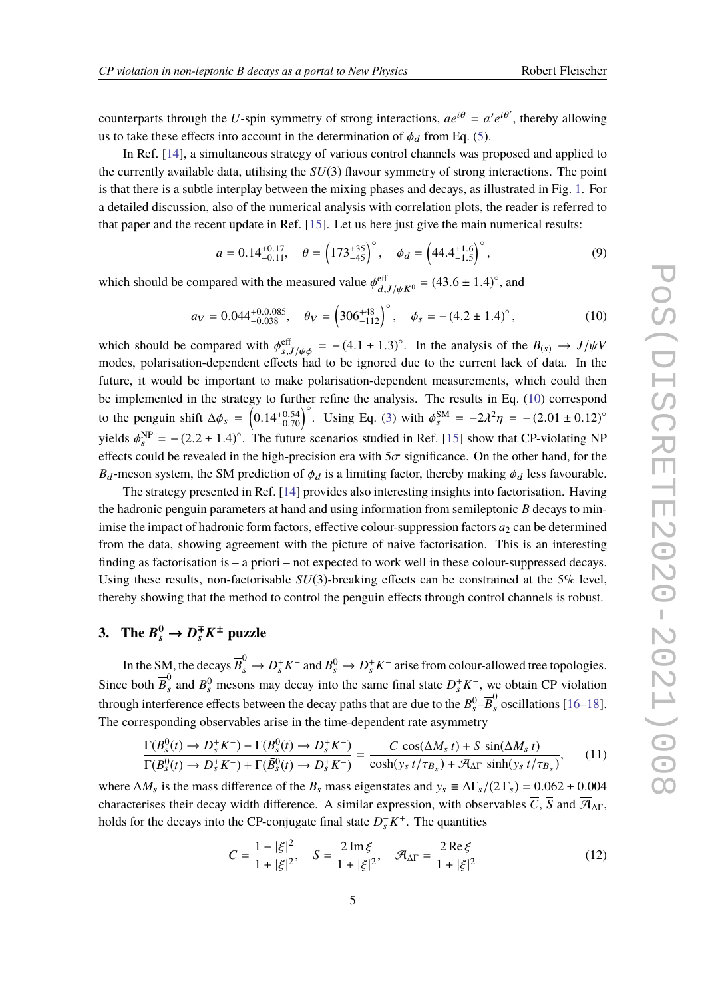counterparts through the *U*-spin symmetry of strong interactions,  $ae^{i\theta} = a'e^{i\theta'}$ , thereby allowing us to take these effects into account in the determination of  $\phi_d$  from Eq. [\(5\)](#page-3-0).

In Ref. [\[14\]](#page-10-0), a simultaneous strategy of various control channels was proposed and applied to the currently available data, utilising the *SU*(3) flavour symmetry of strong interactions. The point is that there is a subtle interplay between the mixing phases and decays, as illustrated in Fig. [1.](#page-3-1) For a detailed discussion, also of the numerical analysis with correlation plots, the reader is referred to that paper and the recent update in Ref. [\[15\]](#page-10-4). Let us here just give the main numerical results:

$$
a = 0.14^{+0.17}_{-0.11}, \quad \theta = \left(173^{+35}_{-45}\right)^\circ, \quad \phi_d = \left(44.4^{+1.6}_{-1.5}\right)^\circ, \tag{9}
$$

which should be compared with the measured value  $\phi_{d,J/\psi K^0}^{\text{eff}} = (43.6 \pm 1.4)^\circ$ , and

<span id="page-4-0"></span>
$$
a_V = 0.044^{+0.0.085}_{-0.038}
$$
,  $\theta_V = \left(306^{+48}_{-112}\right)^\circ$ ,  $\phi_s = -(4.2 \pm 1.4)^\circ$ , (10)

which should be compared with  $\phi_{s,J/\psi\phi}^{\text{eff}} = -(4.1 \pm 1.3)^\circ$ . In the analysis of the  $B_{(s)} \to J/\psi V$ <br>modes polarisation-dependent effects had to be ignored due to the current lack of data. In the modes, polarisation-dependent effects had to be ignored due to the current lack of data. In the future, it would be important to make polarisation-dependent measurements, which could then be implemented in the strategy to further refine the analysis. The results in Eq. [\(10\)](#page-4-0) correspond to the penguin shift  $\Delta\phi_s = \left(0.14_{-0.70}^{+0.54}\right)^\circ$ . Using Eq. [\(3\)](#page-2-1) with  $\phi_s^{\text{SM}} = -2\lambda^2\eta = -(2.01 \pm 0.12)^\circ$ yields  $\phi_s^{\text{NP}} = -(2.2 \pm 1.4)^\circ$ . The future scenarios studied in Ref. [\[15\]](#page-10-4) show that CP-violating NP effects could be revealed in the high-precision era with  $5\sigma$  significance. On the other hand, for the  $B_d$ -meson system, the SM prediction of  $\phi_d$  is a limiting factor, thereby making  $\phi_d$  less favourable.

The strategy presented in Ref. [\[14\]](#page-10-0) provides also interesting insights into factorisation. Having the hadronic penguin parameters at hand and using information from semileptonic *B* decays to minimise the impact of hadronic form factors, effective colour-suppression factors  $a_2$  can be determined from the data, showing agreement with the picture of naive factorisation. This is an interesting finding as factorisation is – a priori – not expected to work well in these colour-suppressed decays. Using these results, non-factorisable *SU*(3)-breaking effects can be constrained at the 5% level, thereby showing that the method to control the penguin effects through control channels is robust.

### 3. The  $B_s^0 \to D_s^{\mp} K^{\pm}$  puzzle

In the SM, the decays  $\overline{B}_s^0 \to D_s^+ K^-$  and  $B_s^0 \to D_s^+ K^-$  arise from colour-allowed tree topologies. Since both  $\overline{B}_s^0$  $s<sup>0</sup>$  and  $B<sup>0</sup>$  mesons may decay into the same final state  $D<sub>s</sub><sup>+</sup> K<sup>-</sup>$ , we obtain CP violation through interference effects between the decay paths that are due to the  $B_s^0-\overline{B}_s^0$  oscillations [\[16–](#page-10-5)[18\]](#page-10-6). The corresponding observables arise in the time-dependent rate asymmetry

$$
\frac{\Gamma(B_s^0(t) \to D_s^+ K^-) - \Gamma(\bar{B}_s^0(t) \to D_s^+ K^-)}{\Gamma(B_s^0(t) \to D_s^+ K^-) + \Gamma(\bar{B}_s^0(t) \to D_s^+ K^-)} = \frac{C \cos(\Delta M_s t) + S \sin(\Delta M_s t)}{\cosh(y_s t/\tau_{B_s}) + \mathcal{A}_{\Delta \Gamma} \sinh(y_s t/\tau_{B_s})},\tag{11}
$$

where  $\Delta M_s$  is the mass difference of the  $B_s$  mass eigenstates and  $y_s \equiv \Delta \Gamma_s / (2 \Gamma_s) = 0.062 \pm 0.004$ characterises their decay width difference. A similar expression, with observables  $\overline{C}$ ,  $\overline{S}$  and  $\overline{A}_{\Delta\Gamma}$ , holds for the decays into the CP-conjugate final state  $D_s^- K^+$ . The quantities

$$
C = \frac{1 - |\xi|^2}{1 + |\xi|^2}, \quad S = \frac{2 \operatorname{Im} \xi}{1 + |\xi|^2}, \quad \mathcal{A}_{\Delta \Gamma} = \frac{2 \operatorname{Re} \xi}{1 + |\xi|^2}
$$
(12)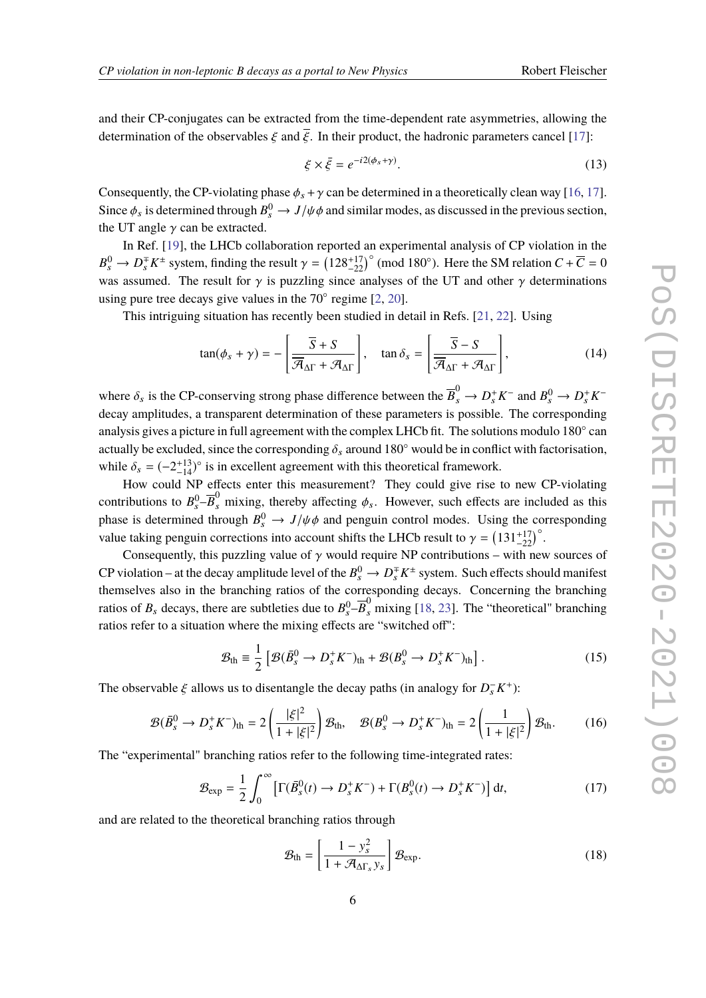and their CP-conjugates can be extracted from the time-dependent rate asymmetries, allowing the determination of the observables  $\xi$  and  $\overline{\xi}$ . In their product, the hadronic parameters cancel [\[17\]](#page-10-7):

<span id="page-5-0"></span>
$$
\xi \times \bar{\xi} = e^{-i2(\phi_s + \gamma)}.
$$
\n(13)

Consequently, the CP-violating phase  $\phi_s + \gamma$  can be determined in a theoretically clean way [\[16,](#page-10-5) [17\]](#page-10-7). Since  $\phi_s$  is determined through  $B_s^0 \to J/\psi \phi$  and similar modes, as discussed in the previous section, the UT angle  $\gamma$  can be extracted.

In Ref. [\[19\]](#page-10-8), the LHCb collaboration reported an experimental analysis of CP violation in the  $B_s^0 \to D_s^{\pm} K^{\pm}$  system, finding the result  $\gamma = (128^{+17}_{-22})^{\circ}$  (mod 180°). Here the SM relation  $C + \overline{C} = 0$ was assumed. The result for  $\gamma$  is puzzling since analyses of the UT and other  $\gamma$  determinations using pure tree decays give values in the  $70^\circ$  regime  $[2, 20]$  $[2, 20]$  $[2, 20]$ .

This intriguing situation has recently been studied in detail in Refs. [\[21,](#page-10-10) [22\]](#page-10-11). Using

$$
\tan(\phi_s + \gamma) = -\left[\frac{\overline{S} + S}{\overline{\mathcal{A}}_{\Delta \Gamma} + \mathcal{A}_{\Delta \Gamma}}\right], \quad \tan \delta_s = \left[\frac{\overline{S} - S}{\overline{\mathcal{A}}_{\Delta \Gamma} + \mathcal{A}_{\Delta \Gamma}}\right],
$$
(14)

where  $\delta_s$  is the CP-conserving strong phase difference between the  $\overline{B}_s^0 \to D_s^+ K^-$  and  $B_s^0 \to D_s^+ K^$ decay amplitudes, a transparent determination of these parameters is possible. The corresponding analysis gives a picture in full agreement with the complex LHCb fit. The solutions modulo 180° can actually be excluded, since the corresponding  $\delta_s$  around 180 $\degree$  would be in conflict with factorisation, while  $\delta_s = (-2^{+13}_{-14})^\circ$  is in excellent agreement with this theoretical framework.

How could NP effects enter this measurement? They could give rise to new CP-violating contributions to  $B_s^0$ – $\overline{B}_s^0$  mixing, thereby affecting  $\phi_s$ . However, such effects are included as this phase is determined through  $B_s^0 \to J/\psi \phi$  and penguin control modes. Using the corresponding<br>unlus taking penguin corrections into account objets the LUCh result to  $u = (121 \pm 17)^{\circ}$ value taking penguin corrections into account shifts the LHCb result to  $\gamma = (131^{+17}_{-22})^{\circ}$ .

Consequently, this puzzling value of  $\gamma$  would require NP contributions – with new sources of CP violation – at the decay amplitude level of the  $B_s^0 \to D_s^{\mp} K^{\pm}$  system. Such effects should manifest themselves also in the branching ratios of the corresponding decays. Concerning the branching ratios of  $B_s$  decays, there are subtleties due to  $B_s^0$  $-\overline{B}_s^0$  mixing [\[18,](#page-10-6) [23\]](#page-10-12). The "theoretical" branching ratios refer to a situation where the mixing effects are "switched off":

$$
\mathcal{B}_{\text{th}} \equiv \frac{1}{2} \left[ \mathcal{B}(\bar{B}_s^0 \to D_s^+ K^-)_{\text{th}} + \mathcal{B}(B_s^0 \to D_s^+ K^-)_{\text{th}} \right]. \tag{15}
$$

The observable  $\xi$  allows us to disentangle the decay paths (in analogy for  $D_s^- K^+$ ):

$$
\mathcal{B}(\bar{B}_s^0 \to D_s^+ K^-)_{\text{th}} = 2 \left( \frac{|\xi|^2}{1 + |\xi|^2} \right) \mathcal{B}_{\text{th}}, \quad \mathcal{B}(B_s^0 \to D_s^+ K^-)_{\text{th}} = 2 \left( \frac{1}{1 + |\xi|^2} \right) \mathcal{B}_{\text{th}}.
$$
 (16)

The "experimental" branching ratios refer to the following time-integrated rates:

$$
\mathcal{B}_{\exp} = \frac{1}{2} \int_0^\infty \left[ \Gamma(\bar{B}_s^0(t) \to D_s^+ K^-) + \Gamma(B_s^0(t) \to D_s^+ K^-) \right] dt,\tag{17}
$$

and are related to the theoretical branching ratios through

$$
\mathcal{B}_{\text{th}} = \left[\frac{1 - y_s^2}{1 + \mathcal{A}_{\Delta \Gamma_s} y_s}\right] \mathcal{B}_{\text{exp}}.\tag{18}
$$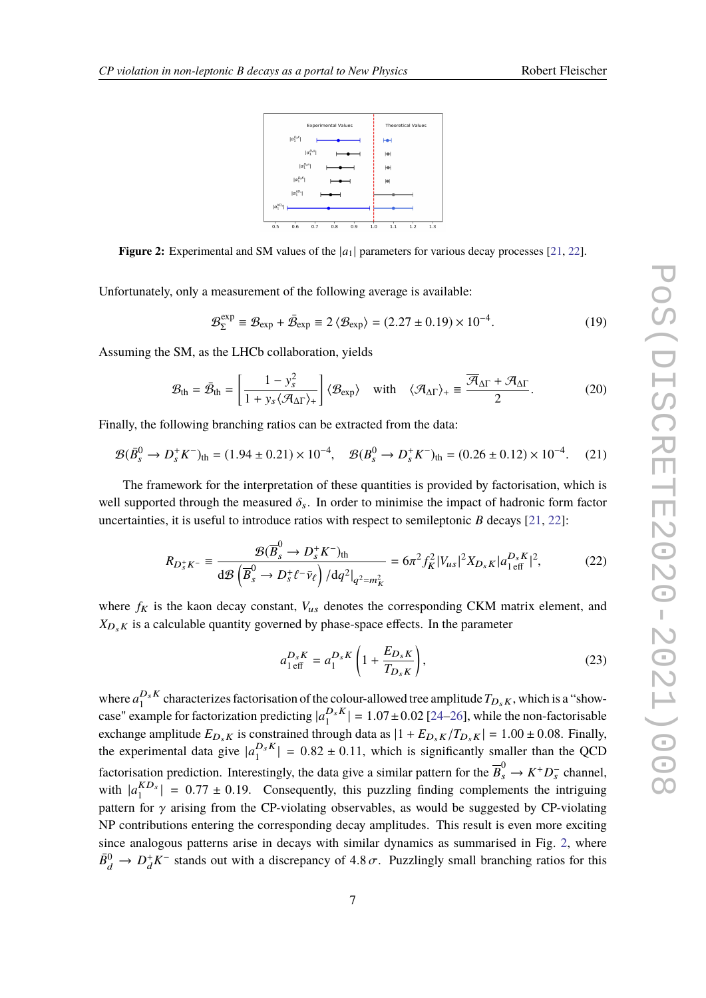

<span id="page-6-0"></span>**Figure 2:** Experimental and SM values of the  $|a_1|$  parameters for various decay processes [\[21,](#page-10-10) [22\]](#page-10-11).

Unfortunately, only a measurement of the following average is available:

$$
\mathcal{B}_{\Sigma}^{\text{exp}} \equiv \mathcal{B}_{\text{exp}} + \bar{\mathcal{B}}_{\text{exp}} \equiv 2 \langle \mathcal{B}_{\text{exp}} \rangle = (2.27 \pm 0.19) \times 10^{-4}.
$$
 (19)

Assuming the SM, as the LHCb collaboration, yields

$$
\mathcal{B}_{\text{th}} = \bar{\mathcal{B}}_{\text{th}} = \left[ \frac{1 - y_s^2}{1 + y_s \langle \mathcal{A}_{\Delta \Gamma} \rangle_+} \right] \langle \mathcal{B}_{\text{exp}} \rangle \quad \text{with} \quad \langle \mathcal{A}_{\Delta \Gamma} \rangle_+ \equiv \frac{\overline{\mathcal{A}}_{\Delta \Gamma} + \mathcal{A}_{\Delta \Gamma}}{2} . \tag{20}
$$

Finally, the following branching ratios can be extracted from the data:

$$
\mathcal{B}(\bar{B}_s^0 \to D_s^+ K^-)_{\text{th}} = (1.94 \pm 0.21) \times 10^{-4}, \quad \mathcal{B}(B_s^0 \to D_s^+ K^-)_{\text{th}} = (0.26 \pm 0.12) \times 10^{-4}. \tag{21}
$$

The framework for the interpretation of these quantities is provided by factorisation, which is well supported through the measured  $\delta_s$ . In order to minimise the impact of hadronic form factor uncertainties, it is useful to introduce ratios with respect to semileptonic *B* decays [\[21,](#page-10-10) [22\]](#page-10-11):

$$
R_{D_s^+ K^-} \equiv \frac{\mathcal{B}(\overline{B}_s^0 \to D_s^+ K^-)_{\text{th}}}{\mathrm{d}\mathcal{B}\left(\overline{B}_s^0 \to D_s^+ \ell^- \bar{\nu}_{\ell}\right) / \mathrm{d}q^2|_{q^2 = m_K^2}} = 6\pi^2 f_K^2 |V_{us}|^2 X_{D_s K} |a_{1 \text{ eff}}^{D_s K}|^2, \tag{22}
$$

where  $f_K$  is the kaon decay constant,  $V_{us}$  denotes the corresponding CKM matrix element, and  $X_{D_sK}$  is a calculable quantity governed by phase-space effects. In the parameter

$$
a_{1 \text{ eff}}^{D_s K} = a_1^{D_s K} \left( 1 + \frac{E_{D_s K}}{T_{D_s K}} \right),\tag{23}
$$

where  $a_1^{D_s K}$  $L_1^{D_s K}$  characterizes factorisation of the colour-allowed tree amplitude  $T_{D_s K}$ , which is a "showcase" example for factorization predicting  $|a_1^{D_s K}|$  $\binom{D_s \kappa}{1} = 1.07 \pm 0.02$  [\[24–](#page-10-13)[26\]](#page-11-0), while the non-factorisable<br>revealed to see  $\frac{11}{16}$   $\frac{E}{16} = \frac{17}{120} = 1.00 \pm 0.08$ . Finally exchange amplitude  $E_{D_sK}$  is constrained through data as  $|1 + E_{D_sK}/T_{D_sK}| = 1.00 \pm 0.08$ . Finally, the experimental data give  $|a_1^{D_s K}|$  $\left| \frac{D_s \kappa}{1} \right| = 0.82 \pm 0.11$ , which is significantly smaller than the QCD factorisation prediction. Interestingly, the data give a similar pattern for the  $\overline{B}_s^0 \to K^+ D_s^-$  channel, with  $|a_1^{KD_s}$  $\binom{16}{12}$  = 0.77 ± 0.19. Consequently, this puzzling finding complements the intriguing for v existence from the CP violating electrophics as would be supported by CP violating pattern for  $\gamma$  arising from the CP-violating observables, as would be suggested by CP-violating NP contributions entering the corresponding decay amplitudes. This result is even more exciting since analogous patterns arise in decays with similar dynamics as summarised in Fig. [2,](#page-6-0) where  $\bar{B}^0_d \to D_d^+ K^-$  stands out with a discrepancy of 4.8  $\sigma$ . Puzzlingly small branching ratios for this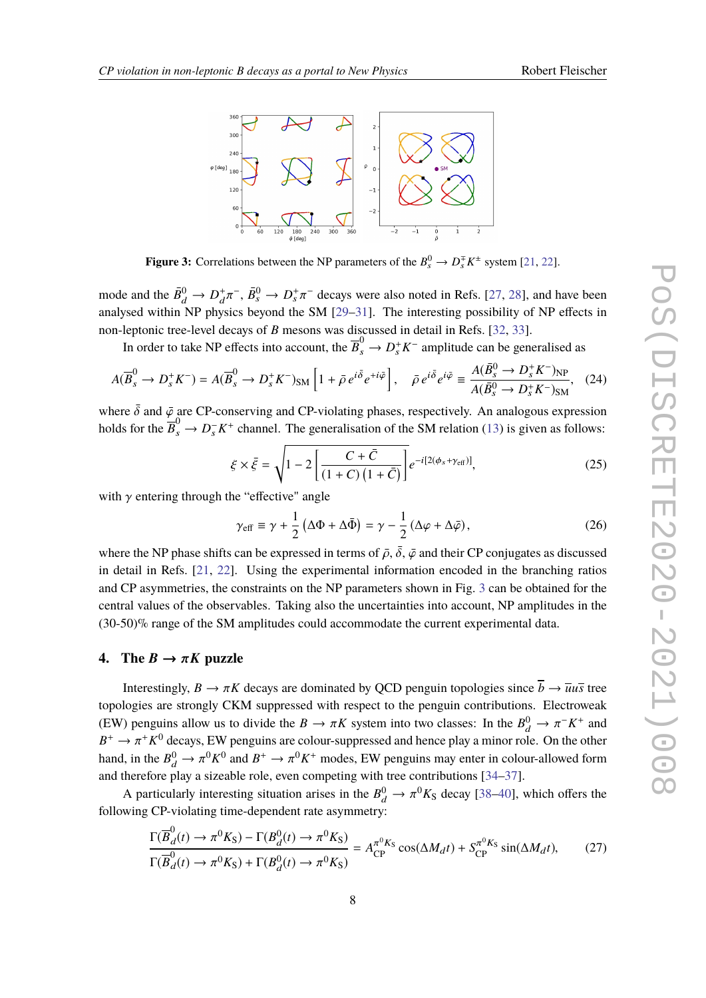<span id="page-7-0"></span>

**Figure 3:** Correlations between the NP parameters of the  $B_s^0 \to D_s^{\mp} K^{\pm}$  system [\[21,](#page-10-10) [22\]](#page-10-11).

mode and the  $\bar{B}^0_d \to D_d^+$ analysed within NP physics beyond the SM  $[29-31]$  $[29-31]$ . The interesting possibility of NP effects in  $\overline{B}_s^0$  →  $D_s^+\pi^-$  decays were also noted in Refs. [\[27,](#page-11-1) [28\]](#page-11-2), and have been<br>so havend the SM 500, 211. The interesting negativity of ND effects in non-leptonic tree-level decays of *B* mesons was discussed in detail in Refs. [\[32,](#page-11-5) [33\]](#page-11-6).

In order to take NP effects into account, the  $\overline{B}_s^0 \to D_s^+ K^-$  amplitude can be generalised as

$$
A(\overline{B}_s^0 \to D_s^+ K^-) = A(\overline{B}_s^0 \to D_s^+ K^-)_{\rm SM} \left[ 1 + \bar{\rho} e^{i\bar{\delta}} e^{+i\bar{\varphi}} \right], \quad \bar{\rho} e^{i\bar{\delta}} e^{i\bar{\varphi}} \equiv \frac{A(\bar{B}_s^0 \to D_s^+ K^-)_{\rm NP}}{A(\bar{B}_s^0 \to D_s^+ K^-)_{\rm SM}}, \quad (24)
$$

where  $\bar{\delta}$  and  $\bar{\varphi}$  are CP-conserving and CP-violating phases, respectively. An analogous expression holds for the  $\overline{B}_s^0 \to D_s^- K^+$  channel. The generalisation of the SM relation [\(13\)](#page-5-0) is given as follows:

$$
\xi \times \bar{\xi} = \sqrt{1 - 2\left[\frac{C + \bar{C}}{(1 + C)\left(1 + \bar{C}\right)}\right]} e^{-i[2(\phi_s + \gamma_{\text{eff}})]},\tag{25}
$$

with  $\gamma$  entering through the "effective" angle

$$
\gamma_{\text{eff}} \equiv \gamma + \frac{1}{2} \left( \Delta \Phi + \Delta \bar{\Phi} \right) = \gamma - \frac{1}{2} \left( \Delta \varphi + \Delta \bar{\varphi} \right),\tag{26}
$$

where the NP phase shifts can be expressed in terms of  $\bar{\rho}$ ,  $\bar{\delta}$ ,  $\bar{\varphi}$  and their CP conjugates as discussed in detail in Refs. [\[21,](#page-10-10) [22\]](#page-10-11). Using the experimental information encoded in the branching ratios and CP asymmetries, the constraints on the NP parameters shown in Fig. [3](#page-7-0) can be obtained for the central values of the observables. Taking also the uncertainties into account, NP amplitudes in the (30-50)% range of the SM amplitudes could accommodate the current experimental data.

#### **4.** The  $B \to \pi K$  puzzle

Interestingly,  $B \to \pi K$  decays are dominated by QCD penguin topologies since  $\overline{b} \to \overline{u}u\overline{s}$  tree topologies are strongly CKM suppressed with respect to the penguin contributions. Electroweak (EW) penguins allow us to divide the  $B \to \pi K$  system into two classes: In the  $B_d^0 \to \pi^- K^+$  and  $B_d^+ \to -\pi^+ K^0$  decays FW convince are colour suppressed and have a place minor rale. On the other  $B^+ \to \pi^+ K^0$  decays, EW penguins are colour-suppressed and hence play a minor role. On the other hand, in the  $B_0^0 \to \pi^0 K^0$  and  $B^+ \to \pi^0 K^+$  modes, EW penguins may enter in colour-allowed form and therefore play a sizeable role, even competing with tree contributions [\[34–](#page-11-7)[37\]](#page-11-8).

A particularly interesting situation arises in the  $B_d^0 \to \pi^0 K_S$  decay [\[38](#page-11-9)[–40\]](#page-11-10), which offers the following CP-violating time-dependent rate asymmetry:

$$
\frac{\Gamma(\overline{B}_d^0(t) \to \pi^0 K_S) - \Gamma(B_d^0(t) \to \pi^0 K_S)}{\Gamma(\overline{B}_d^0(t) \to \pi^0 K_S) + \Gamma(B_d^0(t) \to \pi^0 K_S)} = A_{\text{CP}}^{\pi^0 K_S} \cos(\Delta M_d t) + S_{\text{CP}}^{\pi^0 K_S} \sin(\Delta M_d t),\tag{27}
$$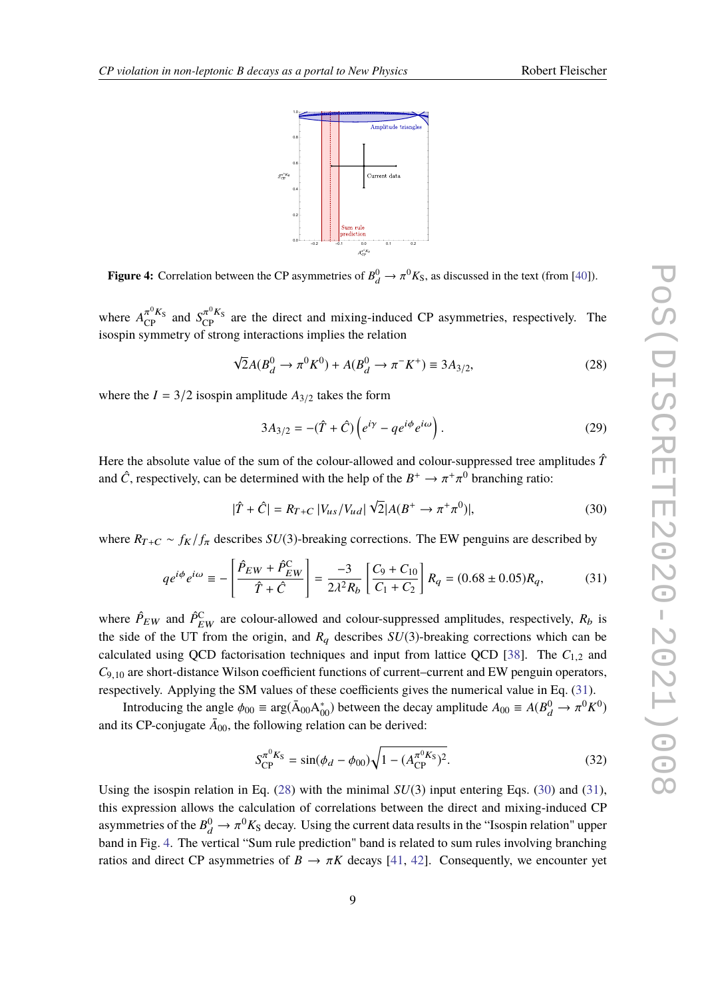

<span id="page-8-3"></span>**Figure 4:** Correlation between the CP asymmetries of  $B_d^0 \to \pi^0 K_S$ , as discussed in the text (from [\[40\]](#page-11-10)).

where  $A_{\text{CP}}^{\pi^0 K_S}$  and  $S_{\text{CP}}^{\pi^0 K_S}$  are the direct and mixing-induced CP asymmetries, respectively. The isospin symmetry of strong interactions implies the relation

<span id="page-8-1"></span>
$$
\sqrt{2}A(B_d^0 \to \pi^0 K^0) + A(B_d^0 \to \pi^- K^+) \equiv 3A_{3/2},\tag{28}
$$

where the  $I = 3/2$  isospin amplitude  $A_{3/2}$  takes the form

$$
3A_{3/2} = -(\hat{T} + \hat{C}) \left( e^{i\gamma} - q e^{i\phi} e^{i\omega} \right). \tag{29}
$$

Here the absolute value of the sum of the colour-allowed and colour-suppressed tree amplitudes  $\hat{T}$ and  $\hat{C}$ , respectively, can be determined with the help of the  $B^+ \to \pi^+$  $<sup>0</sup>$  branching ratio:</sup>

<span id="page-8-2"></span>
$$
|\hat{T} + \hat{C}| = R_{T+C} |V_{us}/V_{ud}| \sqrt{2}|A(B^+ \to \pi^+ \pi^0)|,
$$
\n(30)

where  $R_{T+C} \sim f_K/f_\pi$  describes *SU*(3)-breaking corrections. The EW penguins are described by

<span id="page-8-0"></span>
$$
qe^{i\phi}e^{i\omega} \equiv -\left[\frac{\hat{P}_{EW} + \hat{P}_{EW}^{\text{C}}}{\hat{T} + \hat{C}}\right] = \frac{-3}{2\lambda^2 R_b} \left[\frac{C_9 + C_{10}}{C_1 + C_2}\right] R_q = (0.68 \pm 0.05)R_q, \tag{31}
$$

where  $\hat{P}_{EW}$  and  $\hat{P}_{EW}^C$  are colour-allowed and colour-suppressed amplitudes, respectively,  $R_b$  is the side of the UT from the origin, and  $R_q$  describes  $SU(3)$ -breaking corrections which can be calculated using QCD factorisation techniques and input from lattice QCD [\[38\]](#page-11-9). The  $C_{1,2}$  and *<sup>C</sup>*9,<sup>10</sup> are short-distance Wilson coefficient functions of current–current and EW penguin operators, respectively. Applying the SM values of these coefficients gives the numerical value in Eq. [\(31\)](#page-8-0).

Introducing the angle  $\phi_{00} \equiv \arg(\bar{A}_{00} A_{00}^*)$  between the decay amplitude  $A_{00} \equiv A(B_d^0 \to \pi^0 K^0)$ <br>the CP conjugate  $\bar{A}$  the following relation can be derived. and its CP-conjugate  $\bar{A}_{00}$ , the following relation can be derived:

$$
S_{\rm CP}^{\pi^0 K_{\rm S}} = \sin(\phi_d - \phi_{00}) \sqrt{1 - (A_{\rm CP}^{\pi^0 K_{\rm S}})^2}.
$$
 (32)

Using the isospin relation in Eq. [\(28\)](#page-8-1) with the minimal *SU*(3) input entering Eqs. [\(30\)](#page-8-2) and [\(31\)](#page-8-0), this expression allows the calculation of correlations between the direct and mixing-induced CP asymmetries of the  $B^0_d \to \pi^0 K_S$  decay. Using the current data results in the "Isospin relation" upper<br>hand in Fig. 4. The *unti*cel "Sum mls and isticel" hand is related to sum mlss involving hanglings band in Fig. [4.](#page-8-3) The vertical "Sum rule prediction" band is related to sum rules involving branching ratios and direct CP asymmetries of  $B \to \pi K$  decays [\[41,](#page-11-11) [42\]](#page-11-12). Consequently, we encounter yet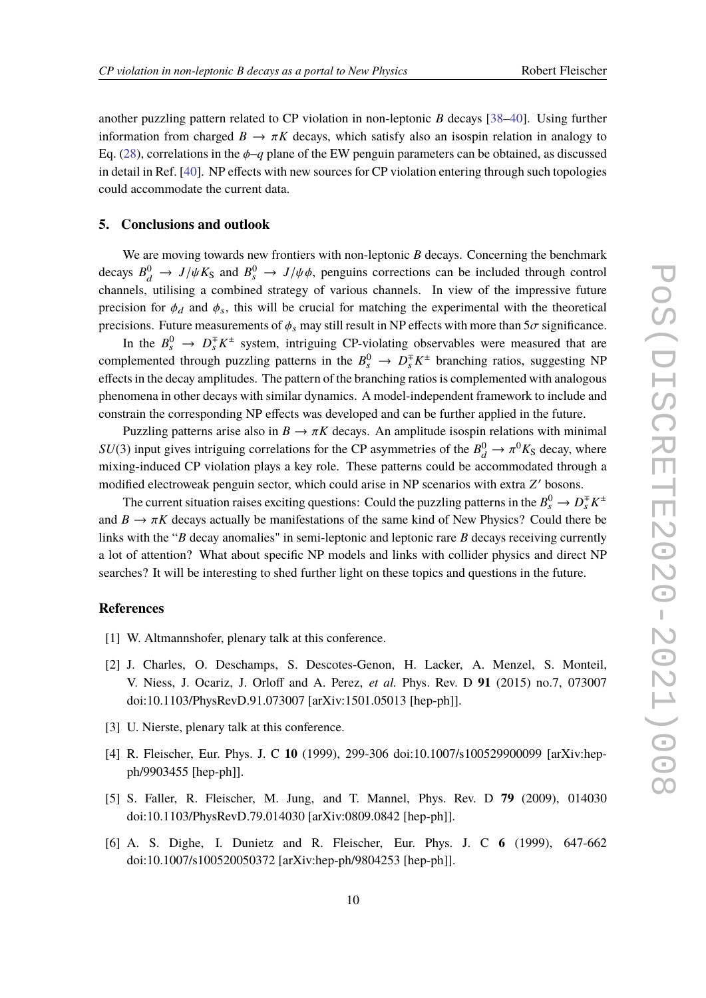another puzzling pattern related to CP violation in non-leptonic *B* decays [\[38–](#page-11-9)[40\]](#page-11-10). Using further information from charged  $B \to \pi K$  decays, which satisfy also an isospin relation in analogy to Eq. [\(28\)](#page-8-1), correlations in the  $\phi$ –*q* plane of the EW penguin parameters can be obtained, as discussed in detail in Ref. [\[40\]](#page-11-10). NP effects with new sources for CP violation entering through such topologies could accommodate the current data.

### **5. Conclusions and outlook**

We are moving towards new frontiers with non-leptonic *B* decays. Concerning the benchmark decays  $B_d^0 \rightarrow J/\psi K_S$  and  $B_s^0 \rightarrow J/\psi \phi$ , penguins corrections can be included through control channels, utilising a combined strategy of various channels. In view of the impressive future precision for  $\phi_d$  and  $\phi_s$ , this will be crucial for matching the experimental with the theoretical precisions. Future measurements of  $\phi_s$  may still result in NP effects with more than  $5\sigma$  significance.

In the  $B_s^0 \rightarrow D_s^{\pm} K^{\pm}$  system, intriguing CP-violating observables were measured that are complemented through puzzling patterns in the  $B_s^0 \to D_s^{\pm} K^{\pm}$  branching ratios, suggesting NP effects in the decay amplitudes. The pattern of the branching ratios is complemented with analogous phenomena in other decays with similar dynamics. A model-independent framework to include and constrain the corresponding NP effects was developed and can be further applied in the future.

Puzzling patterns arise also in  $B \to \pi K$  decays. An amplitude isospin relations with minimal  $SU(3)$  input gives intriguing correlations for the CP asymmetries of the  $B_0^0 \rightarrow \pi^0 K_S$  decay, where mixing induced CD vialation glave a list rate. These patterns could be assessmediated through a mixing-induced CP violation plays a key role. These patterns could be accommodated through a modified electroweak penguin sector, which could arise in NP scenarios with extra Z' bosons.

The current situation raises exciting questions: Could the puzzling patterns in the  $B_s^0 \to D_s^{\mp} K^{\pm}$ and  $B \to \pi K$  decays actually be manifestations of the same kind of New Physics? Could there be links with the "*B* decay anomalies" in semi-leptonic and leptonic rare *B* decays receiving currently a lot of attention? What about specific NP models and links with collider physics and direct NP searches? It will be interesting to shed further light on these topics and questions in the future.

### **References**

- <span id="page-9-0"></span>[1] W. Altmannshofer, plenary talk at this conference.
- <span id="page-9-1"></span>[2] J. Charles, O. Deschamps, S. Descotes-Genon, H. Lacker, A. Menzel, S. Monteil, V. Niess, J. Ocariz, J. Orloff and A. Perez, *et al.* Phys. Rev. D **91** (2015) no.7, 073007 doi:10.1103/PhysRevD.91.073007 [arXiv:1501.05013 [hep-ph]].
- <span id="page-9-2"></span>[3] U. Nierste, plenary talk at this conference.
- <span id="page-9-3"></span>[4] R. Fleischer, Eur. Phys. J. C **10** (1999), 299-306 doi:10.1007/s100529900099 [arXiv:hepph/9903455 [hep-ph]].
- <span id="page-9-4"></span>[5] S. Faller, R. Fleischer, M. Jung, and T. Mannel, Phys. Rev. D **79** (2009), 014030 doi:10.1103/PhysRevD.79.014030 [arXiv:0809.0842 [hep-ph]].
- <span id="page-9-5"></span>[6] A. S. Dighe, I. Dunietz and R. Fleischer, Eur. Phys. J. C **6** (1999), 647-662 doi:10.1007/s100520050372 [arXiv:hep-ph/9804253 [hep-ph]].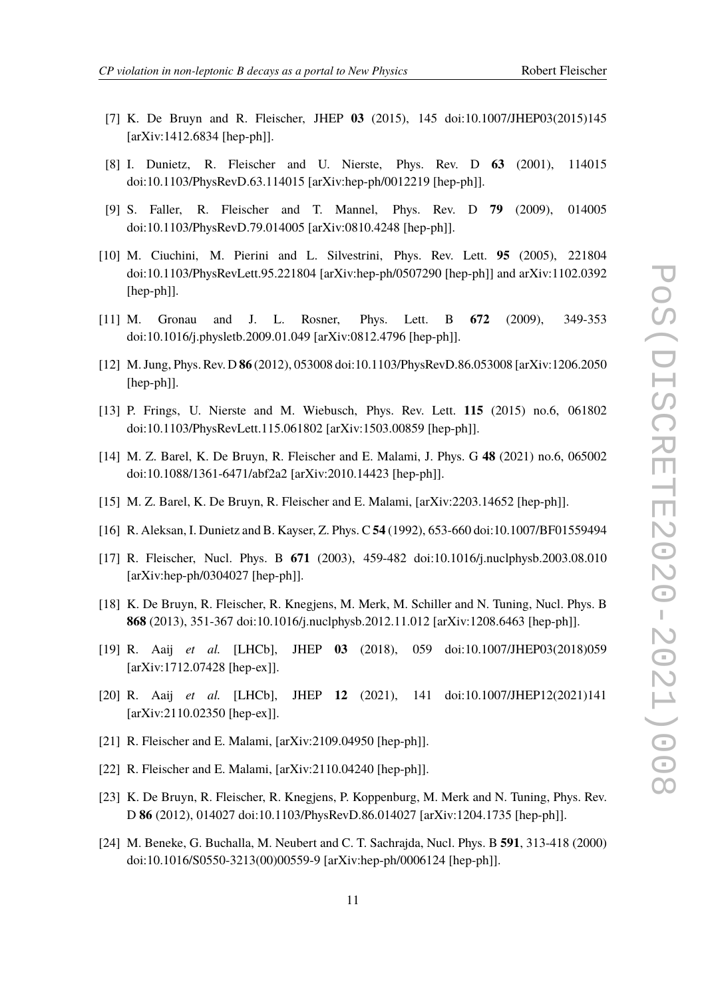- <span id="page-10-3"></span>[7] K. De Bruyn and R. Fleischer, JHEP **03** (2015), 145 doi:10.1007/JHEP03(2015)145 [arXiv:1412.6834 [hep-ph]].
- <span id="page-10-1"></span>[8] I. Dunietz, R. Fleischer and U. Nierste, Phys. Rev. D **63** (2001), 114015 doi:10.1103/PhysRevD.63.114015 [arXiv:hep-ph/0012219 [hep-ph]].
- <span id="page-10-2"></span>[9] S. Faller, R. Fleischer and T. Mannel, Phys. Rev. D **79** (2009), 014005 doi:10.1103/PhysRevD.79.014005 [arXiv:0810.4248 [hep-ph]].
- [10] M. Ciuchini, M. Pierini and L. Silvestrini, Phys. Rev. Lett. **95** (2005), 221804 doi:10.1103/PhysRevLett.95.221804 [arXiv:hep-ph/0507290 [hep-ph]] and arXiv:1102.0392 [hep-ph]].
- [11] M. Gronau and J. L. Rosner, Phys. Lett. B **672** (2009), 349-353 doi:10.1016/j.physletb.2009.01.049 [arXiv:0812.4796 [hep-ph]].
- [12] M. Jung, Phys. Rev. D **86** (2012), 053008 doi:10.1103/PhysRevD.86.053008 [arXiv:1206.2050 [hep-ph]].
- [13] P. Frings, U. Nierste and M. Wiebusch, Phys. Rev. Lett. **115** (2015) no.6, 061802 doi:10.1103/PhysRevLett.115.061802 [arXiv:1503.00859 [hep-ph]].
- <span id="page-10-0"></span>[14] M. Z. Barel, K. De Bruyn, R. Fleischer and E. Malami, J. Phys. G **48** (2021) no.6, 065002 doi:10.1088/1361-6471/abf2a2 [arXiv:2010.14423 [hep-ph]].
- <span id="page-10-4"></span>[15] M. Z. Barel, K. De Bruyn, R. Fleischer and E. Malami, [arXiv:2203.14652 [hep-ph]].
- <span id="page-10-5"></span>[16] R. Aleksan, I. Dunietz and B. Kayser, Z. Phys. C **54** (1992), 653-660 doi:10.1007/BF01559494
- <span id="page-10-7"></span>[17] R. Fleischer, Nucl. Phys. B **671** (2003), 459-482 doi:10.1016/j.nuclphysb.2003.08.010 [arXiv:hep-ph/0304027 [hep-ph]].
- <span id="page-10-6"></span>[18] K. De Bruyn, R. Fleischer, R. Knegjens, M. Merk, M. Schiller and N. Tuning, Nucl. Phys. B **868** (2013), 351-367 doi:10.1016/j.nuclphysb.2012.11.012 [arXiv:1208.6463 [hep-ph]].
- <span id="page-10-8"></span>[19] R. Aaij *et al.* [LHCb], JHEP **03** (2018), 059 doi:10.1007/JHEP03(2018)059 [arXiv:1712.07428 [hep-ex]].
- <span id="page-10-9"></span>[20] R. Aaij *et al.* [LHCb], JHEP **12** (2021), 141 doi:10.1007/JHEP12(2021)141 [arXiv:2110.02350 [hep-ex]].
- <span id="page-10-10"></span>[21] R. Fleischer and E. Malami, [arXiv:2109.04950 [hep-ph]].
- <span id="page-10-11"></span>[22] R. Fleischer and E. Malami, [arXiv:2110.04240 [hep-ph]].
- <span id="page-10-12"></span>[23] K. De Bruyn, R. Fleischer, R. Knegjens, P. Koppenburg, M. Merk and N. Tuning, Phys. Rev. D **86** (2012), 014027 doi:10.1103/PhysRevD.86.014027 [arXiv:1204.1735 [hep-ph]].
- <span id="page-10-13"></span>[24] M. Beneke, G. Buchalla, M. Neubert and C. T. Sachrajda, Nucl. Phys. B **591**, 313-418 (2000) doi:10.1016/S0550-3213(00)00559-9 [arXiv:hep-ph/0006124 [hep-ph]].